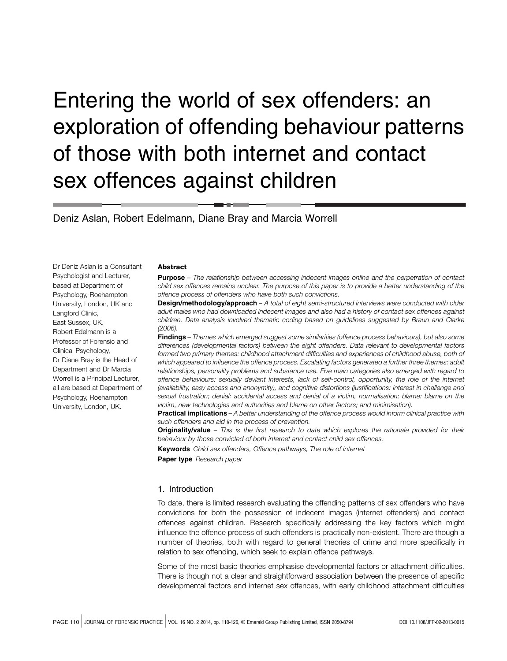# Entering the world of sex offenders: an exploration of offending behaviour patterns of those with both internet and contact sex offences against children

Deniz Aslan, Robert Edelmann, Diane Bray and Marcia Worrell

Dr Deniz Aslan is a Consultant Psychologist and Lecturer, based at Department of Psychology, Roehampton University, London, UK and Langford Clinic, East Sussex, UK. Robert Edelmann is a Professor of Forensic and Clinical Psychology, Dr Diane Bray is the Head of Department and Dr Marcia Worrell is a Principal Lecturer, all are based at Department of Psychology, Roehampton University, London, UK.

#### **Abstract**

**Purpose** – The relationship between accessing indecent images online and the perpetration of contact child sex offences remains unclear. The purpose of this paper is to provide a better understanding of the offence process of offenders who have both such convictions.

**Design/methodology/approach** – A total of eight semi-structured interviews were conducted with older adult males who had downloaded indecent images and also had a history of contact sex offences against children. Data analysis involved thematic coding based on guidelines suggested by Braun and Clarke (2006).

Findings – Themes which emerged suggest some similarities (offence process behaviours), but also some differences (developmental factors) between the eight offenders. Data relevant to developmental factors formed two primary themes: childhood attachment difficulties and experiences of childhood abuse, both of which appeared to influence the offence process. Escalating factors generated a further three themes: adult relationships, personality problems and substance use. Five main categories also emerged with regard to offence behaviours: sexually deviant interests, lack of self-control, opportunity, the role of the internet (availability, easy access and anonymity), and cognitive distortions (justifications: interest in challenge and sexual frustration; denial: accidental access and denial of a victim, normalisation; blame: blame on the victim, new technologies and authorities and blame on other factors; and minimisation).

**Practical implications** – A better understanding of the offence process would inform clinical practice with such offenders and aid in the process of prevention.

Originality/value – This is the first research to date which explores the rationale provided for their behaviour by those convicted of both internet and contact child sex offences.

**Keywords** Child sex offenders, Offence pathways, The role of internet

Paper type Research paper

#### 1. Introduction

To date, there is limited research evaluating the offending patterns of sex offenders who have convictions for both the possession of indecent images (internet offenders) and contact offences against children. Research specifically addressing the key factors which might influence the offence process of such offenders is practically non-existent. There are though a number of theories, both with regard to general theories of crime and more specifically in relation to sex offending, which seek to explain offence pathways.

Some of the most basic theories emphasise developmental factors or attachment difficulties. There is though not a clear and straightforward association between the presence of specific developmental factors and internet sex offences, with early childhood attachment difficulties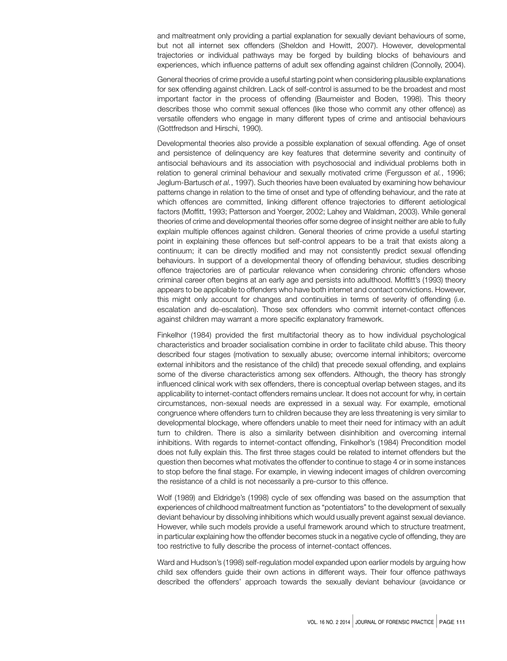and maltreatment only providing a partial explanation for sexually deviant behaviours of some, but not all internet sex offenders (Sheldon and Howitt, 2007). However, developmental trajectories or individual pathways may be forged by building blocks of behaviours and experiences, which influence patterns of adult sex offending against children (Connolly, 2004).

General theories of crime provide a useful starting point when considering plausible explanations for sex offending against children. Lack of self-control is assumed to be the broadest and most important factor in the process of offending (Baumeister and Boden, 1998). This theory describes those who commit sexual offences (like those who commit any other offence) as versatile offenders who engage in many different types of crime and antisocial behaviours (Gottfredson and Hirschi, 1990).

Developmental theories also provide a possible explanation of sexual offending. Age of onset and persistence of delinquency are key features that determine severity and continuity of antisocial behaviours and its association with psychosocial and individual problems both in relation to general criminal behaviour and sexually motivated crime (Fergusson et al., 1996; Jeglum-Bartusch et al., 1997). Such theories have been evaluated by examining how behaviour patterns change in relation to the time of onset and type of offending behaviour, and the rate at which offences are committed, linking different offence trajectories to different aetiological factors (Moffitt, 1993; Patterson and Yoerger, 2002; Lahey and Waldman, 2003). While general theories of crime and developmental theories offer some degree of insight neither are able to fully explain multiple offences against children. General theories of crime provide a useful starting point in explaining these offences but self-control appears to be a trait that exists along a continuum; it can be directly modified and may not consistently predict sexual offending behaviours. In support of a developmental theory of offending behaviour, studies describing offence trajectories are of particular relevance when considering chronic offenders whose criminal career often begins at an early age and persists into adulthood. Moffitt's (1993) theory appears to be applicable to offenders who have both internet and contact convictions. However, this might only account for changes and continuities in terms of severity of offending (i.e. escalation and de-escalation). Those sex offenders who commit internet-contact offences against children may warrant a more specific explanatory framework.

Finkelhor (1984) provided the first multifactorial theory as to how individual psychological characteristics and broader socialisation combine in order to facilitate child abuse. This theory described four stages (motivation to sexually abuse; overcome internal inhibitors; overcome external inhibitors and the resistance of the child) that precede sexual offending, and explains some of the diverse characteristics among sex offenders. Although, the theory has strongly influenced clinical work with sex offenders, there is conceptual overlap between stages, and its applicability to internet-contact offenders remains unclear. It does not account for why, in certain circumstances, non-sexual needs are expressed in a sexual way. For example, emotional congruence where offenders turn to children because they are less threatening is very similar to developmental blockage, where offenders unable to meet their need for intimacy with an adult turn to children. There is also a similarity between disinhibition and overcoming internal inhibitions. With regards to internet-contact offending, Finkelhor's (1984) Precondition model does not fully explain this. The first three stages could be related to internet offenders but the question then becomes what motivates the offender to continue to stage 4 or in some instances to stop before the final stage. For example, in viewing indecent images of children overcoming the resistance of a child is not necessarily a pre-cursor to this offence.

Wolf (1989) and Eldridge's (1998) cycle of sex offending was based on the assumption that experiences of childhood maltreatment function as "potentiators" to the development of sexually deviant behaviour by dissolving inhibitions which would usually prevent against sexual deviance. However, while such models provide a useful framework around which to structure treatment, in particular explaining how the offender becomes stuck in a negative cycle of offending, they are too restrictive to fully describe the process of internet-contact offences.

Ward and Hudson's (1998) self-regulation model expanded upon earlier models by arguing how child sex offenders guide their own actions in different ways. Their four offence pathways described the offenders' approach towards the sexually deviant behaviour (avoidance or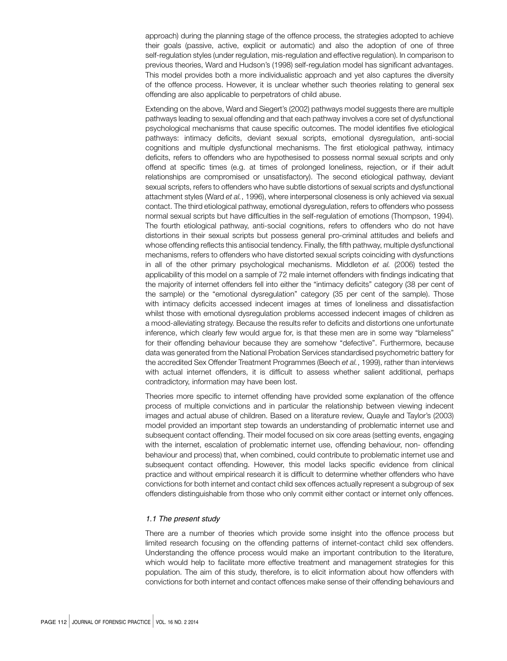approach) during the planning stage of the offence process, the strategies adopted to achieve their goals (passive, active, explicit or automatic) and also the adoption of one of three self-regulation styles (under regulation, mis-regulation and effective regulation). In comparison to previous theories, Ward and Hudson's (1998) self-regulation model has significant advantages. This model provides both a more individualistic approach and yet also captures the diversity of the offence process. However, it is unclear whether such theories relating to general sex offending are also applicable to perpetrators of child abuse.

Extending on the above, Ward and Siegert's (2002) pathways model suggests there are multiple pathways leading to sexual offending and that each pathway involves a core set of dysfunctional psychological mechanisms that cause specific outcomes. The model identifies five etiological pathways: intimacy deficits, deviant sexual scripts, emotional dysregulation, anti-social cognitions and multiple dysfunctional mechanisms. The first etiological pathway, intimacy deficits, refers to offenders who are hypothesised to possess normal sexual scripts and only offend at specific times (e.g. at times of prolonged loneliness, rejection, or if their adult relationships are compromised or unsatisfactory). The second etiological pathway, deviant sexual scripts, refers to offenders who have subtle distortions of sexual scripts and dysfunctional attachment styles (Ward et al., 1996), where interpersonal closeness is only achieved via sexual contact. The third etiological pathway, emotional dysregulation, refers to offenders who possess normal sexual scripts but have difficulties in the self-regulation of emotions (Thompson, 1994). The fourth etiological pathway, anti-social cognitions, refers to offenders who do not have distortions in their sexual scripts but possess general pro-criminal attitudes and beliefs and whose offending reflects this antisocial tendency. Finally, the fifth pathway, multiple dysfunctional mechanisms, refers to offenders who have distorted sexual scripts coinciding with dysfunctions in all of the other primary psychological mechanisms. Middleton et al. (2006) tested the applicability of this model on a sample of 72 male internet offenders with findings indicating that the majority of internet offenders fell into either the "intimacy deficits" category (38 per cent of the sample) or the "emotional dysregulation" category (35 per cent of the sample). Those with intimacy deficits accessed indecent images at times of loneliness and dissatisfaction whilst those with emotional dysregulation problems accessed indecent images of children as a mood-alleviating strategy. Because the results refer to deficits and distortions one unfortunate inference, which clearly few would argue for, is that these men are in some way "blameless" for their offending behaviour because they are somehow "defective". Furthermore, because data was generated from the National Probation Services standardised psychometric battery for the accredited Sex Offender Treatment Programmes (Beech et al., 1999), rather than interviews with actual internet offenders, it is difficult to assess whether salient additional, perhaps contradictory, information may have been lost.

Theories more specific to internet offending have provided some explanation of the offence process of multiple convictions and in particular the relationship between viewing indecent images and actual abuse of children. Based on a literature review, Quayle and Taylor's (2003) model provided an important step towards an understanding of problematic internet use and subsequent contact offending. Their model focused on six core areas (setting events, engaging with the internet, escalation of problematic internet use, offending behaviour, non- offending behaviour and process) that, when combined, could contribute to problematic internet use and subsequent contact offending. However, this model lacks specific evidence from clinical practice and without empirical research it is difficult to determine whether offenders who have convictions for both internet and contact child sex offences actually represent a subgroup of sex offenders distinguishable from those who only commit either contact or internet only offences.

### 1.1 The present study

There are a number of theories which provide some insight into the offence process but limited research focusing on the offending patterns of internet-contact child sex offenders. Understanding the offence process would make an important contribution to the literature, which would help to facilitate more effective treatment and management strategies for this population. The aim of this study, therefore, is to elicit information about how offenders with convictions for both internet and contact offences make sense of their offending behaviours and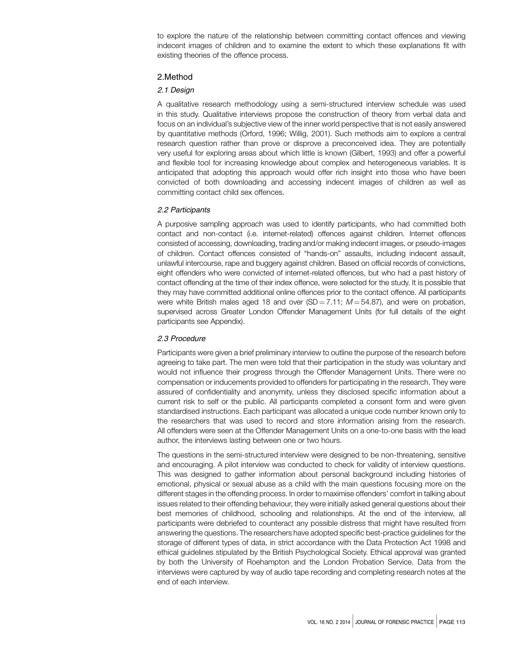to explore the nature of the relationship between committing contact offences and viewing indecent images of children and to examine the extent to which these explanations fit with existing theories of the offence process.

# 2.Method

## 2.1 Design

A qualitative research methodology using a semi-structured interview schedule was used in this study. Qualitative interviews propose the construction of theory from verbal data and focus on an individual's subjective view of the inner world perspective that is not easily answered by quantitative methods (Orford, 1996; Willig, 2001). Such methods aim to explore a central research question rather than prove or disprove a preconceived idea. They are potentially very useful for exploring areas about which little is known (Gilbert, 1993) and offer a powerful and flexible tool for increasing knowledge about complex and heterogeneous variables. It is anticipated that adopting this approach would offer rich insight into those who have been convicted of both downloading and accessing indecent images of children as well as committing contact child sex offences.

## 2.2 Participants

A purposive sampling approach was used to identify participants, who had committed both contact and non-contact (i.e. internet-related) offences against children. Internet offences consisted of accessing, downloading, trading and/or making indecent images, or pseudo-images of children. Contact offences consisted of "hands-on" assaults, including indecent assault, unlawful intercourse, rape and buggery against children. Based on official records of convictions, eight offenders who were convicted of internet-related offences, but who had a past history of contact offending at the time of their index offence, were selected for the study. It is possible that they may have committed additional online offences prior to the contact offence. All participants were white British males aged 18 and over  $(SD = 7.11; M = 54.87)$ , and were on probation, supervised across Greater London Offender Management Units (for full details of the eight participants see Appendix).

# 2.3 Procedure

Participants were given a brief preliminary interview to outline the purpose of the research before agreeing to take part. The men were told that their participation in the study was voluntary and would not influence their progress through the Offender Management Units. There were no compensation or inducements provided to offenders for participating in the research. They were assured of confidentiality and anonymity, unless they disclosed specific information about a current risk to self or the public. All participants completed a consent form and were given standardised instructions. Each participant was allocated a unique code number known only to the researchers that was used to record and store information arising from the research. All offenders were seen at the Offender Management Units on a one-to-one basis with the lead author, the interviews lasting between one or two hours.

The questions in the semi-structured interview were designed to be non-threatening, sensitive and encouraging. A pilot interview was conducted to check for validity of interview questions. This was designed to gather information about personal background including histories of emotional, physical or sexual abuse as a child with the main questions focusing more on the different stages in the offending process. In order to maximise offenders' comfort in talking about issues related to their offending behaviour, they were initially asked general questions about their best memories of childhood, schooling and relationships. At the end of the interview, all participants were debriefed to counteract any possible distress that might have resulted from answering the questions. The researchers have adopted specific best-practice guidelines for the storage of different types of data, in strict accordance with the Data Protection Act 1998 and ethical guidelines stipulated by the British Psychological Society. Ethical approval was granted by both the University of Roehampton and the London Probation Service. Data from the interviews were captured by way of audio tape recording and completing research notes at the end of each interview.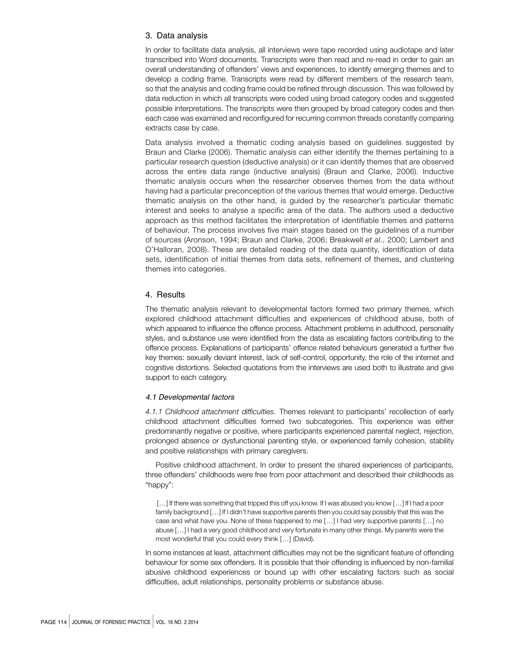# 3. Data analysis

In order to facilitate data analysis, all interviews were tape recorded using audiotape and later transcribed into Word documents. Transcripts were then read and re-read in order to gain an overall understanding of offenders' views and experiences, to identify emerging themes and to develop a coding frame. Transcripts were read by different members of the research team, so that the analysis and coding frame could be refined through discussion. This was followed by data reduction in which all transcripts were coded using broad category codes and suggested possible interpretations. The transcripts were then grouped by broad category codes and then each case was examined and reconfigured for recurring common threads constantly comparing extracts case by case.

Data analysis involved a thematic coding analysis based on guidelines suggested by Braun and Clarke (2006). Thematic analysis can either identify the themes pertaining to a particular research question (deductive analysis) or it can identify themes that are observed across the entire data range (inductive analysis) (Braun and Clarke, 2006). Inductive thematic analysis occurs when the researcher observes themes from the data without having had a particular preconception of the various themes that would emerge. Deductive thematic analysis on the other hand, is guided by the researcher's particular thematic interest and seeks to analyse a specific area of the data. The authors used a deductive approach as this method facilitates the interpretation of identifiable themes and patterns of behaviour. The process involves five main stages based on the guidelines of a number of sources (Aronson, 1994; Braun and Clarke, 2006; Breakwell et al., 2000; Lambert and O'Halloran, 2008). These are detailed reading of the data quantity, identification of data sets, identification of initial themes from data sets, refinement of themes, and clustering themes into categories.

# 4. Results

The thematic analysis relevant to developmental factors formed two primary themes, which explored childhood attachment difficulties and experiences of childhood abuse, both of which appeared to influence the offence process. Attachment problems in adulthood, personality styles, and substance use were identified from the data as escalating factors contributing to the offence process. Explanations of participants' offence related behaviours generated a further five key themes: sexually deviant interest, lack of self-control, opportunity, the role of the internet and cognitive distortions. Selected quotations from the interviews are used both to illustrate and give support to each category.

## 4.1 Developmental factors

4.1.1 Childhood attachment difficulties. Themes relevant to participants' recollection of early childhood attachment difficulties formed two subcategories. This experience was either predominantly negative or positive, where participants experienced parental neglect, rejection, prolonged absence or dysfunctional parenting style, or experienced family cohesion, stability and positive relationships with primary caregivers.

Positive childhood attachment. In order to present the shared experiences of participants, three offenders' childhoods were free from poor attachment and described their childhoods as "happy":

[...] If there was something that tripped this off you know. If I was abused you know [...] If I had a poor family background [...] If I didn't have supportive parents then you could say possibly that this was the case and what have you. None of these happened to me [...] I had very supportive parents [...] no abuse [...] I had a very good childhood and very fortunate in many other things. My parents were the most wonderful that you could every think [...] (David).

In some instances at least, attachment difficulties may not be the significant feature of offending behaviour for some sex offenders. It is possible that their offending is influenced by non-familial abusive childhood experiences or bound up with other escalating factors such as social difficulties, adult relationships, personality problems or substance abuse.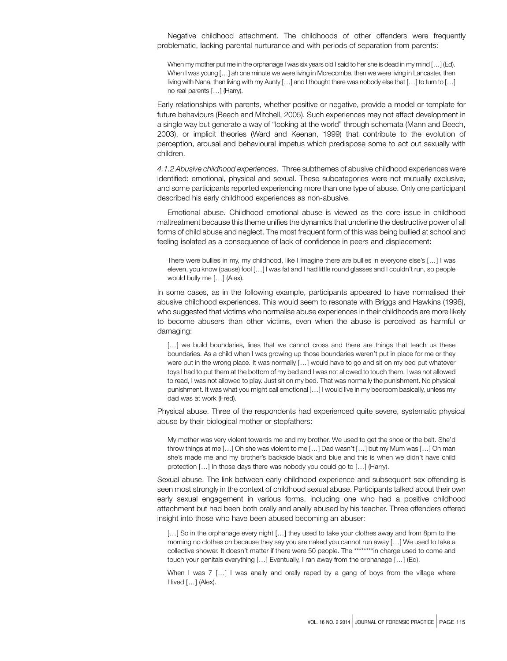Negative childhood attachment. The childhoods of other offenders were frequently problematic, lacking parental nurturance and with periods of separation from parents:

When my mother put me in the orphanage I was six years old I said to her she is dead in my mind  $[...]$  (Ed). When I was young [...] ah one minute we were living in Morecombe, then we were living in Lancaster, then living with Nana, then living with my Aunty [...] and I thought there was nobody else that [...] to turn to [...] no real parents [...] (Harry).

Early relationships with parents, whether positive or negative, provide a model or template for future behaviours (Beech and Mitchell, 2005). Such experiences may not affect development in a single way but generate a way of "looking at the world" through schemata (Mann and Beech, 2003), or implicit theories (Ward and Keenan, 1999) that contribute to the evolution of perception, arousal and behavioural impetus which predispose some to act out sexually with children.

4.1.2 Abusive childhood experiences. Three subthemes of abusive childhood experiences were identified: emotional, physical and sexual. These subcategories were not mutually exclusive, and some participants reported experiencing more than one type of abuse. Only one participant described his early childhood experiences as non-abusive.

Emotional abuse. Childhood emotional abuse is viewed as the core issue in childhood maltreatment because this theme unifies the dynamics that underline the destructive power of all forms of child abuse and neglect. The most frequent form of this was being bullied at school and feeling isolated as a consequence of lack of confidence in peers and displacement:

There were bullies in my, my childhood, like I imagine there are bullies in everyone else's [...] I was eleven, you know (pause) fool [...] I was fat and I had little round glasses and I couldn't run, so people would bully me [...] (Alex).

In some cases, as in the following example, participants appeared to have normalised their abusive childhood experiences. This would seem to resonate with Briggs and Hawkins (1996), who suggested that victims who normalise abuse experiences in their childhoods are more likely to become abusers than other victims, even when the abuse is perceived as harmful or damaging:

[...] we build boundaries, lines that we cannot cross and there are things that teach us these boundaries. As a child when I was growing up those boundaries weren't put in place for me or they were put in the wrong place. It was normally [...] would have to go and sit on my bed put whatever toys I had to put them at the bottom of my bed and I was not allowed to touch them. I was not allowed to read, I was not allowed to play. Just sit on my bed. That was normally the punishment. No physical punishment. It was what you might call emotional [...] I would live in my bedroom basically, unless my dad was at work (Fred).

Physical abuse. Three of the respondents had experienced quite severe, systematic physical abuse by their biological mother or stepfathers:

My mother was very violent towards me and my brother. We used to get the shoe or the belt. She'd throw things at me  $[...]$  Oh she was violent to me  $[...]$  Dad wasn't  $[...]$  but my Mum was  $[...]$  Oh man she's made me and my brother's backside black and blue and this is when we didn't have child protection [...] In those days there was nobody you could go to [...] (Harry).

Sexual abuse. The link between early childhood experience and subsequent sex offending is seen most strongly in the context of childhood sexual abuse. Participants talked about their own early sexual engagement in various forms, including one who had a positive childhood attachment but had been both orally and anally abused by his teacher. Three offenders offered insight into those who have been abused becoming an abuser:

[...] So in the orphanage every night [...] they used to take your clothes away and from 8pm to the morning no clothes on because they say you are naked you cannot run away [...] We used to take a collective shower. It doesn't matter if there were 50 people. The \*\*\*\*\*\*\*\*in charge used to come and touch your genitals everything [...] Eventually, I ran away from the orphanage [...] (Ed).

When I was  $7$  [ $\ldots$ ] I was anally and orally raped by a gang of boys from the village where I lived [...] (Alex).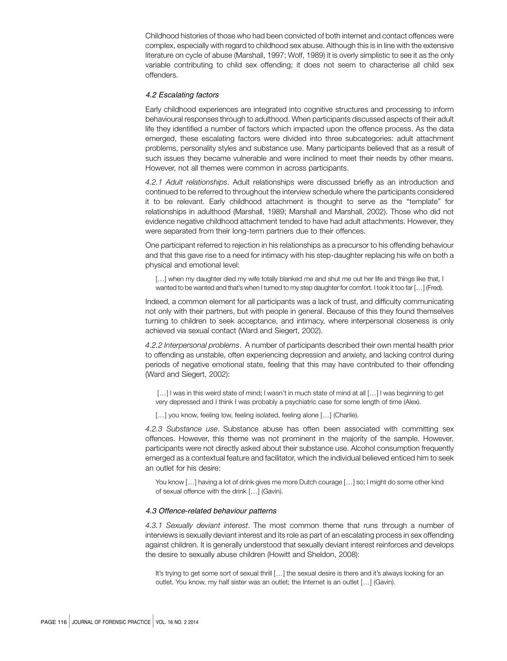Childhood histories of those who had been convicted of both internet and contact offences were complex, especially with regard to childhood sex abuse. Although this is in line with the extensive literature on cycle of abuse (Marshall, 1997; Wolf, 1989) it is overly simplistic to see it as the only variable contributing to child sex offending; it does not seem to characterise all child sex offenders.

### 4.2 Escalating factors

Early childhood experiences are integrated into cognitive structures and processing to inform behavioural responses through to adulthood. When participants discussed aspects of their adult life they identified a number of factors which impacted upon the offence process. As the data emerged, these escalating factors were divided into three subcategories: adult attachment problems, personality styles and substance use. Many participants believed that as a result of such issues they became vulnerable and were inclined to meet their needs by other means. However, not all themes were common in across participants.

4.2.1 Adult relationships. Adult relationships were discussed briefly as an introduction and continued to be referred to throughout the interview schedule where the participants considered it to be relevant. Early childhood attachment is thought to serve as the "template" for relationships in adulthood (Marshall, 1989; Marshall and Marshall, 2002). Those who did not evidence negative childhood attachment tended to have had adult attachments. However, they were separated from their long-term partners due to their offences.

One participant referred to rejection in his relationships as a precursor to his offending behaviour and that this gave rise to a need for intimacy with his step-daughter replacing his wife on both a physical and emotional level:

[...] when my daughter died my wife totally blanked me and shut me out her life and things like that, I wanted to be wanted and that's when I turned to my step daughter for comfort. I took it too far [...] (Fred).

Indeed, a common element for all participants was a lack of trust, and difficulty communicating not only with their partners, but with people in general. Because of this they found themselves turning to children to seek acceptance, and intimacy, where interpersonal closeness is only achieved via sexual contact (Ward and Siegert, 2002).

4.2.2 Interpersonal problems. A number of participants described their own mental health prior to offending as unstable, often experiencing depression and anxiety, and lacking control during periods of negative emotional state, feeling that this may have contributed to their offending (Ward and Siegert, 2002):

[...] I was in this weird state of mind; I wasn't in much state of mind at all [...] I was beginning to get very depressed and I think I was probably a psychiatric case for some length of time (Alex).

[...] you know, feeling low, feeling isolated, feeling alone [...] (Charlie).

4.2.3 Substance use. Substance abuse has often been associated with committing sex offences. However, this theme was not prominent in the majority of the sample. However, participants were not directly asked about their substance use. Alcohol consumption frequently emerged as a contextual feature and facilitator, which the individual believed enticed him to seek an outlet for his desire:

You know [...] having a lot of drink gives me more Dutch courage [...] so; I might do some other kind of sexual offence with the drink [...] (Gavin).

## 4.3 Offence-related behaviour patterns

4.3.1 Sexually deviant interest. The most common theme that runs through a number of interviews is sexually deviant interest and its role as part of an escalating process in sex offending against children. It is generally understood that sexually deviant interest reinforces and develops the desire to sexually abuse children (Howitt and Sheldon, 2008):

It's trying to get some sort of sexual thrill [...] the sexual desire is there and it's always looking for an outlet. You know, my half sister was an outlet; the Internet is an outlet [...] (Gavin).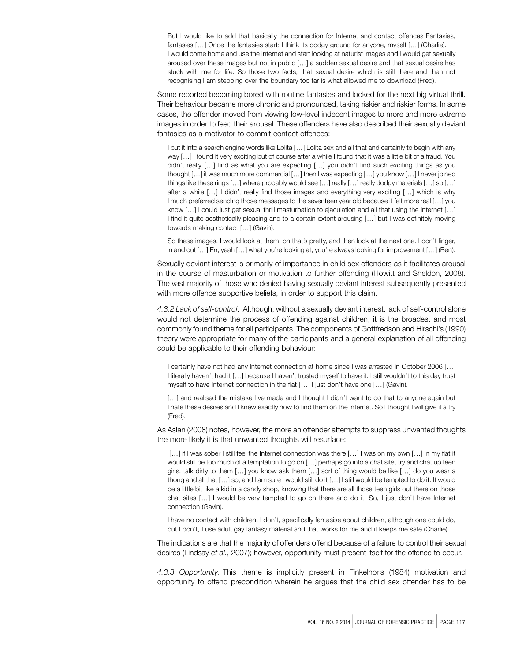But I would like to add that basically the connection for Internet and contact offences Fantasies, fantasies  $[...]$  Once the fantasies start; I think its dodgy ground for anyone, myself  $[...]$  (Charlie). I would come home and use the Internet and start looking at naturist images and I would get sexually aroused over these images but not in public [...] a sudden sexual desire and that sexual desire has stuck with me for life. So those two facts, that sexual desire which is still there and then not recognising I am stepping over the boundary too far is what allowed me to download (Fred).

Some reported becoming bored with routine fantasies and looked for the next big virtual thrill. Their behaviour became more chronic and pronounced, taking riskier and riskier forms. In some cases, the offender moved from viewing low-level indecent images to more and more extreme images in order to feed their arousal. These offenders have also described their sexually deviant fantasies as a motivator to commit contact offences:

I put it into a search engine words like Lolita [...] Lolita sex and all that and certainly to begin with any way [...] I found it very exciting but of course after a while I found that it was a little bit of a fraud. You didn't really [...] find as what you are expecting [...] you didn't find such exciting things as you thought  $[...]$  it was much more commercial  $[...]$  then I was expecting  $[...]$  you know  $[...]$  I never joined things like these rings  $[...]$  where probably would see  $[...]$  really  $[...]$  really dodgy materials  $[...]$  so  $[...]$ after a while [...] I didn't really find those images and everything very exciting [...] which is why I much preferred sending those messages to the seventeen year old because it felt more real [...] you know  $[...]$  I could just get sexual thrill masturbation to ejaculation and all that using the Internet  $[...]$ I find it quite aesthetically pleasing and to a certain extent arousing [...] but I was definitely moving towards making contact [...] (Gavin).

So these images, I would look at them, oh that's pretty, and then look at the next one. I don't linger, in and out  $[...]$  Err, yeah  $[...]$  what you're looking at, you're always looking for improvement  $[...]$  (Ben).

Sexually deviant interest is primarily of importance in child sex offenders as it facilitates arousal in the course of masturbation or motivation to further offending (Howitt and Sheldon, 2008). The vast majority of those who denied having sexually deviant interest subsequently presented with more offence supportive beliefs, in order to support this claim.

4.3.2 Lack of self-control. Although, without a sexually deviant interest, lack of self-control alone would not determine the process of offending against children, it is the broadest and most commonly found theme for all participants. The components of Gottfredson and Hirschi's (1990) theory were appropriate for many of the participants and a general explanation of all offending could be applicable to their offending behaviour:

I certainly have not had any Internet connection at home since I was arrested in October 2006 [...] I literally haven't had it [...] because I haven't trusted myself to have it. I still wouldn't to this day trust myself to have Internet connection in the flat  $[...]$  I just don't have one  $[...]$  (Gavin).

[...] and realised the mistake I've made and I thought I didn't want to do that to anyone again but I hate these desires and I knew exactly how to find them on the Internet. So I thought I will give it a try (Fred).

As Aslan (2008) notes, however, the more an offender attempts to suppress unwanted thoughts the more likely it is that unwanted thoughts will resurface:

[...] if I was sober I still feel the Internet connection was there [...] I was on my own [...] in my flat it would still be too much of a temptation to go on [...] perhaps go into a chat site, try and chat up teen girls, talk dirty to them  $[...]$  you know ask them  $[...]$  sort of thing would be like  $[...]$  do you wear a thong and all that  $[...]$  so, and I am sure I would still do it  $[...]$  I still would be tempted to do it. It would be a little bit like a kid in a candy shop, knowing that there are all those teen girls out there on those chat sites [...] I would be very tempted to go on there and do it. So, I just don't have Internet connection (Gavin).

I have no contact with children. I don't, specifically fantasise about children, although one could do, but I don't, I use adult gay fantasy material and that works for me and it keeps me safe (Charlie).

The indications are that the majority of offenders offend because of a failure to control their sexual desires (Lindsay et al., 2007); however, opportunity must present itself for the offence to occur.

4.3.3 Opportunity. This theme is implicitly present in Finkelhor's (1984) motivation and opportunity to offend precondition wherein he argues that the child sex offender has to be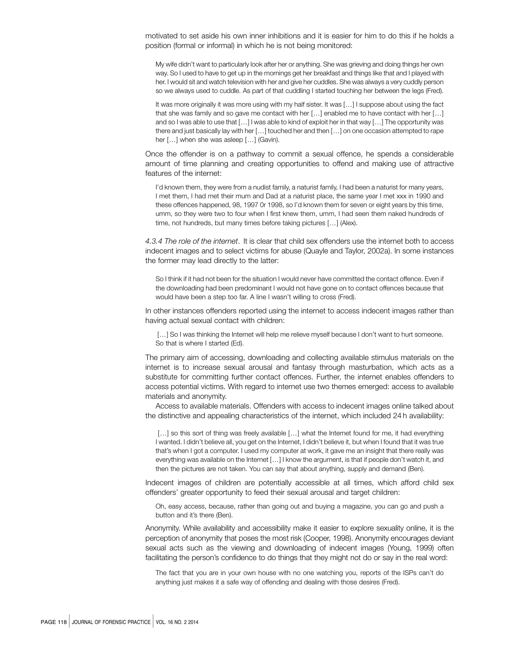motivated to set aside his own inner inhibitions and it is easier for him to do this if he holds a position (formal or informal) in which he is not being monitored:

My wife didn't want to particularly look after her or anything. She was grieving and doing things her own way. So I used to have to get up in the mornings get her breakfast and things like that and I played with her. I would sit and watch television with her and give her cuddles. She was always a very cuddly person so we always used to cuddle. As part of that cuddling I started touching her between the legs (Fred).

It was more originally it was more using with my half sister. It was [...] I suppose about using the fact that she was family and so gave me contact with her  $[...]$  enabled me to have contact with her  $[...]$ and so I was able to use that [...] I was able to kind of exploit her in that way [...] The opportunity was there and just basically lay with her  $[...]$  touched her and then  $[...]$  on one occasion attempted to rape her [...] when she was asleep [...] (Gavin).

Once the offender is on a pathway to commit a sexual offence, he spends a considerable amount of time planning and creating opportunities to offend and making use of attractive features of the internet:

I'd known them, they were from a nudist family, a naturist family, I had been a naturist for many years, I met them, I had met their mum and Dad at a naturist place, the same year I met xxx in 1990 and these offences happened, 98, 1997 0r 1998, so I'd known them for seven or eight years by this time, umm, so they were two to four when I first knew them, umm, I had seen them naked hundreds of time, not hundreds, but many times before taking pictures [...] (Alex).

4.3.4 The role of the internet. It is clear that child sex offenders use the internet both to access indecent images and to select victims for abuse (Quayle and Taylor, 2002a). In some instances the former may lead directly to the latter:

So I think if it had not been for the situation I would never have committed the contact offence. Even if the downloading had been predominant I would not have gone on to contact offences because that would have been a step too far. A line I wasn't willing to cross (Fred).

In other instances offenders reported using the internet to access indecent images rather than having actual sexual contact with children:

[...] So I was thinking the Internet will help me relieve myself because I don't want to hurt someone. So that is where I started (Ed).

The primary aim of accessing, downloading and collecting available stimulus materials on the internet is to increase sexual arousal and fantasy through masturbation, which acts as a substitute for committing further contact offences. Further, the internet enables offenders to access potential victims. With regard to internet use two themes emerged: access to available materials and anonymity.

Access to available materials. Offenders with access to indecent images online talked about the distinctive and appealing characteristics of the internet, which included 24 h availability:

[...] so this sort of thing was freely available [...] what the Internet found for me, it had everything I wanted. I didn't believe all, you get on the Internet, I didn't believe it, but when I found that it was true that's when I got a computer. I used my computer at work, it gave me an insight that there really was everything was available on the Internet [...] I know the argument, is that if people don't watch it, and then the pictures are not taken. You can say that about anything, supply and demand (Ben).

Indecent images of children are potentially accessible at all times, which afford child sex offenders' greater opportunity to feed their sexual arousal and target children:

Oh, easy access, because, rather than going out and buying a magazine, you can go and push a button and it's there (Ben).

Anonymity. While availability and accessibility make it easier to explore sexuality online, it is the perception of anonymity that poses the most risk (Cooper, 1998). Anonymity encourages deviant sexual acts such as the viewing and downloading of indecent images (Young, 1999) often facilitating the person's confidence to do things that they might not do or say in the real word:

The fact that you are in your own house with no one watching you, reports of the ISPs can't do anything just makes it a safe way of offending and dealing with those desires (Fred).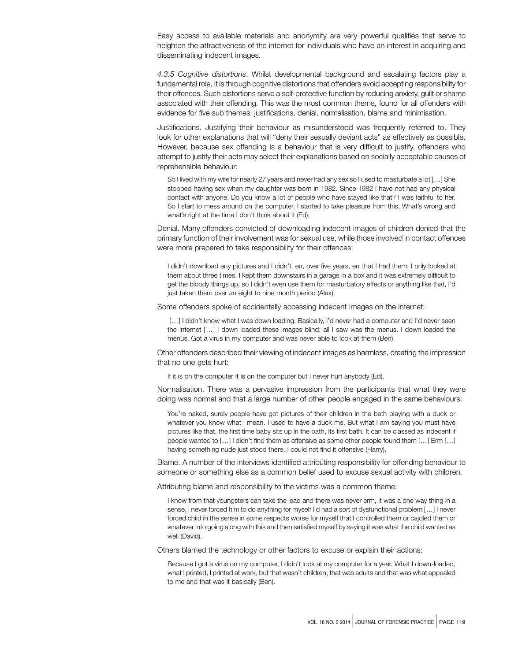Easy access to available materials and anonymity are very powerful qualities that serve to heighten the attractiveness of the internet for individuals who have an interest in acquiring and disseminating indecent images.

4.3.5 Cognitive distortions. Whilst developmental background and escalating factors play a fundamental role, it is through cognitive distortions that offenders avoid accepting responsibility for their offences. Such distortions serve a self-protective function by reducing anxiety, guilt or shame associated with their offending. This was the most common theme, found for all offenders with evidence for five sub themes: justifications, denial, normalisation, blame and minimisation.

Justifications. Justifying their behaviour as misunderstood was frequently referred to. They look for other explanations that will "deny their sexually deviant acts" as effectively as possible. However, because sex offending is a behaviour that is very difficult to justify, offenders who attempt to justify their acts may select their explanations based on socially acceptable causes of reprehensible behaviour:

So I lived with my wife for nearly 27 years and never had any sex so I used to masturbate a lot  $[...]$  She stopped having sex when my daughter was born in 1982. Since 1982 I have not had any physical contact with anyone. Do you know a lot of people who have stayed like that? I was faithful to her. So I start to mess around on the computer. I started to take pleasure from this. What's wrong and what's right at the time I don't think about it (Ed).

Denial. Many offenders convicted of downloading indecent images of children denied that the primary function of their involvement was for sexual use, while those involved in contact offences were more prepared to take responsibility for their offences:

I didn't download any pictures and I didn't, err, over five years, err that I had them, I only looked at them about three times, I kept them downstairs in a garage in a box and it was extremely difficult to get the bloody things up, so I didn't even use them for masturbatory effects or anything like that, I'd just taken them over an eight to nine month period (Alex).

Some offenders spoke of accidentally accessing indecent images on the internet:

[...] I didn't know what I was down loading. Basically, I'd never had a computer and I'd never seen the Internet [...] I down loaded these images blind; all I saw was the menus. I down loaded the menus. Got a virus in my computer and was never able to look at them (Ben).

Other offenders described their viewing of indecent images as harmless, creating the impression that no one gets hurt:

If it is on the computer it is on the computer but I never hurt anybody (Ed).

Normalisation. There was a pervasive impression from the participants that what they were doing was normal and that a large number of other people engaged in the same behaviours:

You're naked, surely people have got pictures of their children in the bath playing with a duck or whatever you know what I mean. I used to have a duck me. But what I am saying you must have pictures like that, the first time baby sits up in the bath, its first bath. It can be classed as indecent if people wanted to  $[...]$  I didn't find them as offensive as some other people found them  $[...]$  Erm  $[...]$ having something nude just stood there, I could not find it offensive (Harry).

Blame. A number of the interviews identified attributing responsibility for offending behaviour to someone or something else as a common belief used to excuse sexual activity with children.

Attributing blame and responsibility to the victims was a common theme:

I know from that youngsters can take the lead and there was never erm, it was a one way thing in a sense, I never forced him to do anything for myself I'd had a sort of dysfunctional problem [...] I never forced child in the sense in some respects worse for myself that I controlled them or cajoled them or whatever into going along with this and then satisfied myself by saying it was what the child wanted as well (David).

Others blamed the technology or other factors to excuse or explain their actions:

Because I got a virus on my computer, I didn't look at my computer for a year. What I down-loaded, what I printed, I printed at work, but that wasn't children, that was adults and that was what appealed to me and that was it basically (Ben).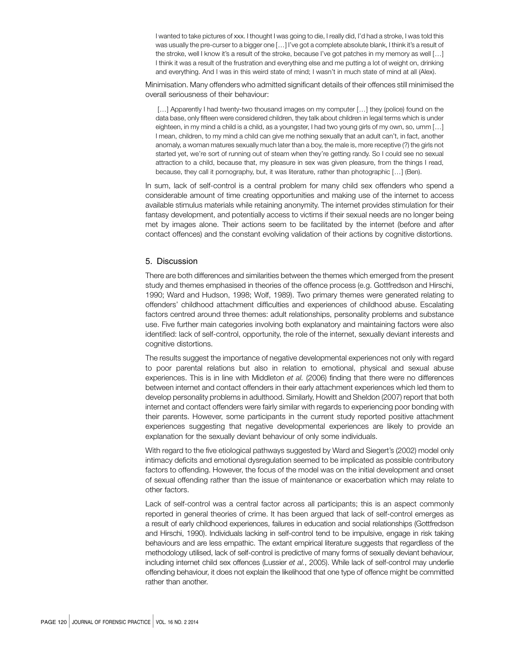I wanted to take pictures of xxx. I thought I was going to die, I really did, I'd had a stroke, I was told this was usually the pre-curser to a bigger one [...] I've got a complete absolute blank, I think it's a result of the stroke, well I know it's a result of the stroke, because I've got patches in my memory as well [...] I think it was a result of the frustration and everything else and me putting a lot of weight on, drinking and everything. And I was in this weird state of mind; I wasn't in much state of mind at all (Alex).

Minimisation. Many offenders who admitted significant details of their offences still minimised the overall seriousness of their behaviour:

[...] Apparently I had twenty-two thousand images on my computer [...] they (police) found on the data base, only fifteen were considered children, they talk about children in legal terms which is under eighteen, in my mind a child is a child, as a youngster, I had two young girls of my own, so, umm  $[...]$ I mean, children, to my mind a child can give me nothing sexually that an adult can't, in fact, another anomaly, a woman matures sexually much later than a boy, the male is, more receptive (?) the girls not started yet, we're sort of running out of steam when they're getting randy. So I could see no sexual attraction to a child, because that, my pleasure in sex was given pleasure, from the things I read, because, they call it pornography, but, it was literature, rather than photographic [...] (Ben).

In sum, lack of self-control is a central problem for many child sex offenders who spend a considerable amount of time creating opportunities and making use of the internet to access available stimulus materials while retaining anonymity. The internet provides stimulation for their fantasy development, and potentially access to victims if their sexual needs are no longer being met by images alone. Their actions seem to be facilitated by the internet (before and after contact offences) and the constant evolving validation of their actions by cognitive distortions.

## 5. Discussion

There are both differences and similarities between the themes which emerged from the present study and themes emphasised in theories of the offence process (e.g. Gottfredson and Hirschi, 1990; Ward and Hudson, 1998; Wolf, 1989). Two primary themes were generated relating to offenders' childhood attachment difficulties and experiences of childhood abuse. Escalating factors centred around three themes: adult relationships, personality problems and substance use. Five further main categories involving both explanatory and maintaining factors were also identified: lack of self-control, opportunity, the role of the internet, sexually deviant interests and cognitive distortions.

The results suggest the importance of negative developmental experiences not only with regard to poor parental relations but also in relation to emotional, physical and sexual abuse experiences. This is in line with Middleton et al. (2006) finding that there were no differences between internet and contact offenders in their early attachment experiences which led them to develop personality problems in adulthood. Similarly, Howitt and Sheldon (2007) report that both internet and contact offenders were fairly similar with regards to experiencing poor bonding with their parents. However, some participants in the current study reported positive attachment experiences suggesting that negative developmental experiences are likely to provide an explanation for the sexually deviant behaviour of only some individuals.

With regard to the five etiological pathways suggested by Ward and Siegert's (2002) model only intimacy deficits and emotional dysregulation seemed to be implicated as possible contributory factors to offending. However, the focus of the model was on the initial development and onset of sexual offending rather than the issue of maintenance or exacerbation which may relate to other factors.

Lack of self-control was a central factor across all participants; this is an aspect commonly reported in general theories of crime. It has been argued that lack of self-control emerges as a result of early childhood experiences, failures in education and social relationships (Gottfredson and Hirschi, 1990). Individuals lacking in self-control tend to be impulsive, engage in risk taking behaviours and are less empathic. The extant empirical literature suggests that regardless of the methodology utilised, lack of self-control is predictive of many forms of sexually deviant behaviour, including internet child sex offences (Lussier et al., 2005). While lack of self-control may underlie offending behaviour, it does not explain the likelihood that one type of offence might be committed rather than another.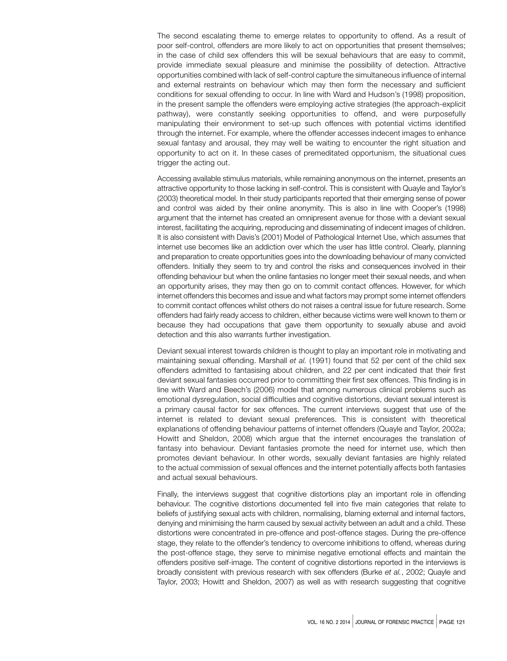The second escalating theme to emerge relates to opportunity to offend. As a result of poor self-control, offenders are more likely to act on opportunities that present themselves; in the case of child sex offenders this will be sexual behaviours that are easy to commit, provide immediate sexual pleasure and minimise the possibility of detection. Attractive opportunities combined with lack of self-control capture the simultaneous influence of internal and external restraints on behaviour which may then form the necessary and sufficient conditions for sexual offending to occur. In line with Ward and Hudson's (1998) proposition, in the present sample the offenders were employing active strategies (the approach-explicit pathway), were constantly seeking opportunities to offend, and were purposefully manipulating their environment to set-up such offences with potential victims identified through the internet. For example, where the offender accesses indecent images to enhance sexual fantasy and arousal, they may well be waiting to encounter the right situation and opportunity to act on it. In these cases of premeditated opportunism, the situational cues trigger the acting out.

Accessing available stimulus materials, while remaining anonymous on the internet, presents an attractive opportunity to those lacking in self-control. This is consistent with Quayle and Taylor's (2003) theoretical model. In their study participants reported that their emerging sense of power and control was aided by their online anonymity. This is also in line with Cooper's (1998) argument that the internet has created an omnipresent avenue for those with a deviant sexual interest, facilitating the acquiring, reproducing and disseminating of indecent images of children. It is also consistent with Davis's (2001) Model of Pathological Internet Use, which assumes that internet use becomes like an addiction over which the user has little control. Clearly, planning and preparation to create opportunities goes into the downloading behaviour of many convicted offenders. Initially they seem to try and control the risks and consequences involved in their offending behaviour but when the online fantasies no longer meet their sexual needs, and when an opportunity arises, they may then go on to commit contact offences. However, for which internet offenders this becomes and issue and what factors may prompt some internet offenders to commit contact offences whilst others do not raises a central issue for future research. Some offenders had fairly ready access to children, either because victims were well known to them or because they had occupations that gave them opportunity to sexually abuse and avoid detection and this also warrants further investigation.

Deviant sexual interest towards children is thought to play an important role in motivating and maintaining sexual offending. Marshall et al. (1991) found that 52 per cent of the child sex offenders admitted to fantasising about children, and 22 per cent indicated that their first deviant sexual fantasies occurred prior to committing their first sex offences. This finding is in line with Ward and Beech's (2006) model that among numerous clinical problems such as emotional dysregulation, social difficulties and cognitive distortions, deviant sexual interest is a primary causal factor for sex offences. The current interviews suggest that use of the internet is related to deviant sexual preferences. This is consistent with theoretical explanations of offending behaviour patterns of internet offenders (Quayle and Taylor, 2002a; Howitt and Sheldon, 2008) which argue that the internet encourages the translation of fantasy into behaviour. Deviant fantasies promote the need for internet use, which then promotes deviant behaviour. In other words, sexually deviant fantasies are highly related to the actual commission of sexual offences and the internet potentially affects both fantasies and actual sexual behaviours.

Finally, the interviews suggest that cognitive distortions play an important role in offending behaviour. The cognitive distortions documented fell into five main categories that relate to beliefs of justifying sexual acts with children, normalising, blaming external and internal factors, denying and minimising the harm caused by sexual activity between an adult and a child. These distortions were concentrated in pre-offence and post-offence stages. During the pre-offence stage, they relate to the offender's tendency to overcome inhibitions to offend, whereas during the post-offence stage, they serve to minimise negative emotional effects and maintain the offenders positive self-image. The content of cognitive distortions reported in the interviews is broadly consistent with previous research with sex offenders (Burke et al., 2002; Quayle and Taylor, 2003; Howitt and Sheldon, 2007) as well as with research suggesting that cognitive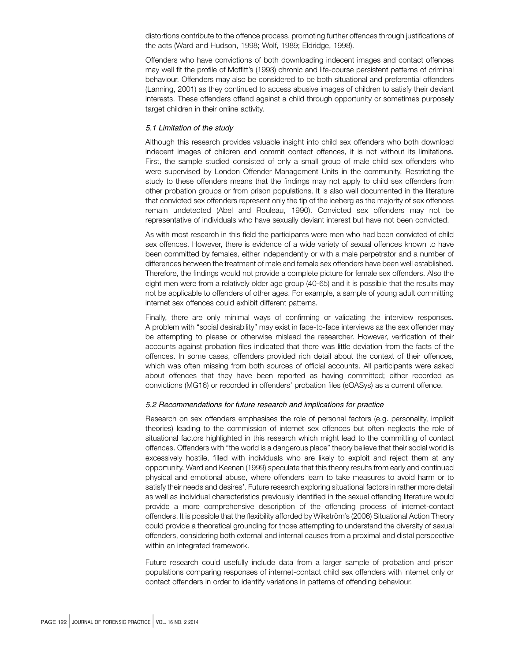distortions contribute to the offence process, promoting further offences through justifications of the acts (Ward and Hudson, 1998; Wolf, 1989; Eldridge, 1998).

Offenders who have convictions of both downloading indecent images and contact offences may well fit the profile of Moffitt's (1993) chronic and life-course persistent patterns of criminal behaviour. Offenders may also be considered to be both situational and preferential offenders (Lanning, 2001) as they continued to access abusive images of children to satisfy their deviant interests. These offenders offend against a child through opportunity or sometimes purposely target children in their online activity.

## 5.1 Limitation of the study

Although this research provides valuable insight into child sex offenders who both download indecent images of children and commit contact offences, it is not without its limitations. First, the sample studied consisted of only a small group of male child sex offenders who were supervised by London Offender Management Units in the community. Restricting the study to these offenders means that the findings may not apply to child sex offenders from other probation groups or from prison populations. It is also well documented in the literature that convicted sex offenders represent only the tip of the iceberg as the majority of sex offences remain undetected (Abel and Rouleau, 1990). Convicted sex offenders may not be representative of individuals who have sexually deviant interest but have not been convicted.

As with most research in this field the participants were men who had been convicted of child sex offences. However, there is evidence of a wide variety of sexual offences known to have been committed by females, either independently or with a male perpetrator and a number of differences between the treatment of male and female sex offenders have been well established. Therefore, the findings would not provide a complete picture for female sex offenders. Also the eight men were from a relatively older age group (40-65) and it is possible that the results may not be applicable to offenders of other ages. For example, a sample of young adult committing internet sex offences could exhibit different patterns.

Finally, there are only minimal ways of confirming or validating the interview responses. A problem with "social desirability" may exist in face-to-face interviews as the sex offender may be attempting to please or otherwise mislead the researcher. However, verification of their accounts against probation files indicated that there was little deviation from the facts of the offences. In some cases, offenders provided rich detail about the context of their offences, which was often missing from both sources of official accounts. All participants were asked about offences that they have been reported as having committed; either recorded as convictions (MG16) or recorded in offenders' probation files (eOASys) as a current offence.

### 5.2 Recommendations for future research and implications for practice

Research on sex offenders emphasises the role of personal factors (e.g. personality, implicit theories) leading to the commission of internet sex offences but often neglects the role of situational factors highlighted in this research which might lead to the committing of contact offences. Offenders with "the world is a dangerous place" theory believe that their social world is excessively hostile, filled with individuals who are likely to exploit and reject them at any opportunity. Ward and Keenan (1999) speculate that this theory results from early and continued physical and emotional abuse, where offenders learn to take measures to avoid harm or to satisfy their needs and desires'. Future research exploring situational factors in rather more detail as well as individual characteristics previously identified in the sexual offending literature would provide a more comprehensive description of the offending process of internet-contact offenders. It is possible that the flexibility afforded by Wikström's (2006) Situational Action Theory could provide a theoretical grounding for those attempting to understand the diversity of sexual offenders, considering both external and internal causes from a proximal and distal perspective within an integrated framework.

Future research could usefully include data from a larger sample of probation and prison populations comparing responses of internet-contact child sex offenders with internet only or contact offenders in order to identify variations in patterns of offending behaviour.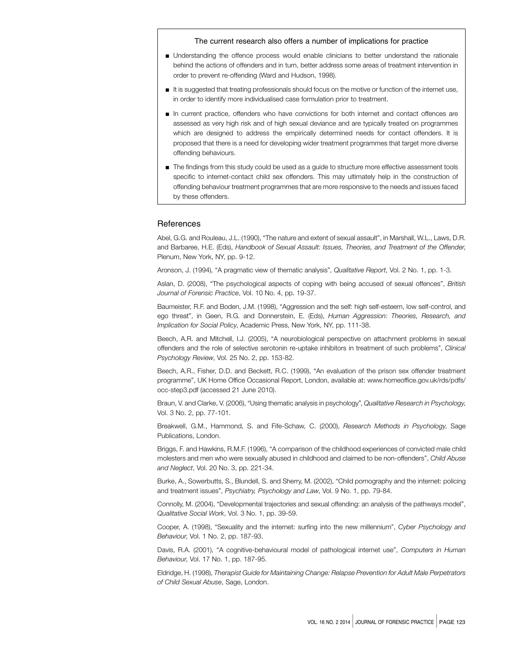#### The current research also offers a number of implications for practice

- ' Understanding the offence process would enable clinicians to better understand the rationale behind the actions of offenders and in turn, better address some areas of treatment intervention in order to prevent re-offending (Ward and Hudson, 1998).
- It is suggested that treating professionals should focus on the motive or function of the internet use, in order to identify more individualised case formulation prior to treatment.
- $\blacksquare$  In current practice, offenders who have convictions for both internet and contact offences are assessed as very high risk and of high sexual deviance and are typically treated on programmes which are designed to address the empirically determined needs for contact offenders. It is proposed that there is a need for developing wider treatment programmes that target more diverse offending behaviours.
- $\blacksquare$  The findings from this study could be used as a guide to structure more effective assessment tools specific to internet-contact child sex offenders. This may ultimately help in the construction of offending behaviour treatment programmes that are more responsive to the needs and issues faced by these offenders.

### **References**

Abel, G.G. and Rouleau, J.L. (1990), "The nature and extent of sexual assault", in Marshall, W.L., Laws, D.R. and Barbaree, H.E. (Eds), Handbook of Sexual Assault: Issues, Theories, and Treatment of the Offender, Plenum, New York, NY, pp. 9-12.

Aronson, J. (1994), "A pragmatic view of thematic analysis", Qualitative Report, Vol. 2 No. 1, pp. 1-3.

Aslan, D. (2008), "The psychological aspects of coping with being accused of sexual offences", British Journal of Forensic Practice, Vol. 10 No. 4, pp. 19-37.

Baumeister, R.F. and Boden, J.M. (1998), "Aggression and the self: high self-esteem, low self-control, and ego threat", in Geen, R.G. and Donnerstein, E. (Eds), Human Aggression: Theories, Research, and Implication for Social Policy, Academic Press, New York, NY, pp. 111-38.

Beech, A.R. and Mitchell, I.J. (2005), "A neurobiological perspective on attachment problems in sexual offenders and the role of selective serotonin re-uptake inhibitors in treatment of such problems", Clinical Psychology Review, Vol. 25 No. 2, pp. 153-82.

Beech, A.R., Fisher, D.D. and Beckett, R.C. (1999), "An evaluation of the prison sex offender treatment programme", UK Home Office Occasional Report, London, available at: www.homeoffice.gov.uk/rds/pdfs/ occ-step3.pdf (accessed 21 June 2010).

Braun, V. and Clarke, V. (2006), "Using thematic analysis in psychology", Qualitative Research in Psychology, Vol. 3 No. 2, pp. 77-101.

Breakwell, G.M., Hammond, S. and Fife-Schaw, C. (2000), Research Methods in Psychology, Sage Publications, London.

Briggs, F. and Hawkins, R.M.F. (1996), "A comparison of the childhood experiences of convicted male child molesters and men who were sexually abused in childhood and claimed to be non-offenders", Child Abuse and Neglect, Vol. 20 No. 3, pp. 221-34.

Burke, A., Sowerbutts, S., Blundell, S. and Sherry, M. (2002), "Child pornography and the internet: policing and treatment issues", Psychiatry, Psychology and Law, Vol. 9 No. 1, pp. 79-84.

Connolly, M. (2004), "Developmental trajectories and sexual offending: an analysis of the pathways model", Qualitative Social Work, Vol. 3 No. 1, pp. 39-59.

Cooper, A. (1998), "Sexuality and the internet: surfing into the new millennium", Cyber Psychology and Behaviour, Vol. 1 No. 2, pp. 187-93.

Davis, R.A. (2001), "A cognitive-behavioural model of pathological internet use", Computers in Human Behaviour, Vol. 17 No. 1, pp. 187-95.

Eldridge, H. (1998), Therapist Guide for Maintaining Change: Relapse Prevention for Adult Male Perpetrators of Child Sexual Abuse, Sage, London.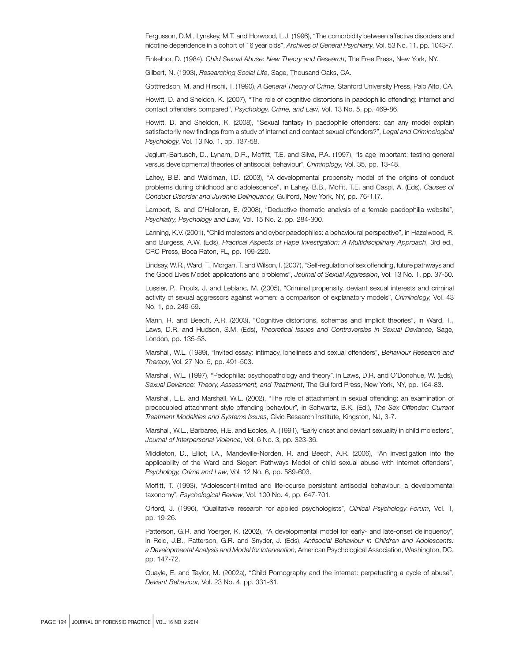Fergusson, D.M., Lynskey, M.T. and Horwood, L.J. (1996), "The comorbidity between affective disorders and nicotine dependence in a cohort of 16 year olds", Archives of General Psychiatry, Vol. 53 No. 11, pp. 1043-7.

Finkelhor, D. (1984), Child Sexual Abuse: New Theory and Research, The Free Press, New York, NY.

Gilbert, N. (1993), Researching Social Life, Sage, Thousand Oaks, CA.

Gottfredson, M. and Hirschi, T. (1990), A General Theory of Crime, Stanford University Press, Palo Alto, CA.

Howitt, D. and Sheldon, K. (2007), "The role of cognitive distortions in paedophilic offending: internet and contact offenders compared", Psychology, Crime, and Law, Vol. 13 No. 5, pp. 469-86.

Howitt, D. and Sheldon, K. (2008), "Sexual fantasy in paedophile offenders: can any model explain satisfactorily new findings from a study of internet and contact sexual offenders?", Legal and Criminological Psychology, Vol. 13 No. 1, pp. 137-58.

Jeglum-Bartusch, D., Lynam, D.R., Moffitt, T.E. and Silva, P.A. (1997), "Is age important: testing general versus developmental theories of antisocial behaviour", Criminology, Vol. 35, pp. 13-48.

Lahey, B.B. and Waldman, I.D. (2003), "A developmental propensity model of the origins of conduct problems during childhood and adolescence", in Lahey, B.B., Moffit, T.E. and Caspi, A. (Eds), Causes of Conduct Disorder and Juvenile Delinquency, Guilford, New York, NY, pp. 76-117.

Lambert, S. and O'Halloran, E. (2008), "Deductive thematic analysis of a female paedophilia website", Psychiatry, Psychology and Law, Vol. 15 No. 2, pp. 284-300.

Lanning, K.V. (2001), "Child molesters and cyber paedophiles: a behavioural perspective", in Hazelwood, R. and Burgess, A.W. (Eds), Practical Aspects of Rape Investigation: A Multidisciplinary Approach, 3rd ed., CRC Press, Boca Raton, FL, pp. 199-220.

Lindsay, W.R., Ward, T., Morgan, T. and Wilson, I. (2007), "Self-regulation of sex offending, future pathways and the Good Lives Model: applications and problems", Journal of Sexual Aggression, Vol. 13 No. 1, pp. 37-50.

Lussier, P., Proulx, J. and Leblanc, M. (2005), "Criminal propensity, deviant sexual interests and criminal activity of sexual aggressors against women: a comparison of explanatory models", Criminology, Vol. 43 No. 1, pp. 249-59.

Mann, R. and Beech, A.R. (2003), "Cognitive distortions, schemas and implicit theories", in Ward, T., Laws, D.R. and Hudson, S.M. (Eds), Theoretical Issues and Controversies in Sexual Deviance, Sage, London, pp. 135-53.

Marshall, W.L. (1989), "Invited essay: intimacy, loneliness and sexual offenders", Behaviour Research and Therapy, Vol. 27 No. 5, pp. 491-503.

Marshall, W.L. (1997), "Pedophilia: psychopathology and theory", in Laws, D.R. and O'Donohue, W. (Eds), Sexual Deviance: Theory, Assessment, and Treatment, The Guilford Press, New York, NY, pp. 164-83.

Marshall, L.E. and Marshall, W.L. (2002), "The role of attachment in sexual offending: an examination of preoccupied attachment style offending behaviour", in Schwartz, B.K. (Ed.), The Sex Offender: Current Treatment Modalities and Systems Issues, Civic Research Institute, Kingston, NJ, 3-7.

Marshall, W.L., Barbaree, H.E. and Eccles, A. (1991), "Early onset and deviant sexuality in child molesters", Journal of Interpersonal Violence, Vol. 6 No. 3, pp. 323-36.

Middleton, D., Elliot, I.A., Mandeville-Norden, R. and Beech, A.R. (2006), "An investigation into the applicability of the Ward and Siegert Pathways Model of child sexual abuse with internet offenders", Psychology, Crime and Law, Vol. 12 No. 6, pp. 589-603.

Moffitt, T. (1993), "Adolescent-limited and life-course persistent antisocial behaviour: a developmental taxonomy", Psychological Review, Vol. 100 No. 4, pp. 647-701.

Orford, J. (1996), "Qualitative research for applied psychologists", Clinical Psychology Forum, Vol. 1, pp. 19-26.

Patterson, G.R. and Yoerger, K. (2002), "A developmental model for early- and late-onset delinquency", in Reid, J.B., Patterson, G.R. and Snyder, J. (Eds), Antisocial Behaviour in Children and Adolescents: a Developmental Analysis and Model for Intervention, American Psychological Association, Washington, DC, pp. 147-72.

Quayle, E. and Taylor, M. (2002a), "Child Pornography and the internet: perpetuating a cycle of abuse", Deviant Behaviour, Vol. 23 No. 4, pp. 331-61.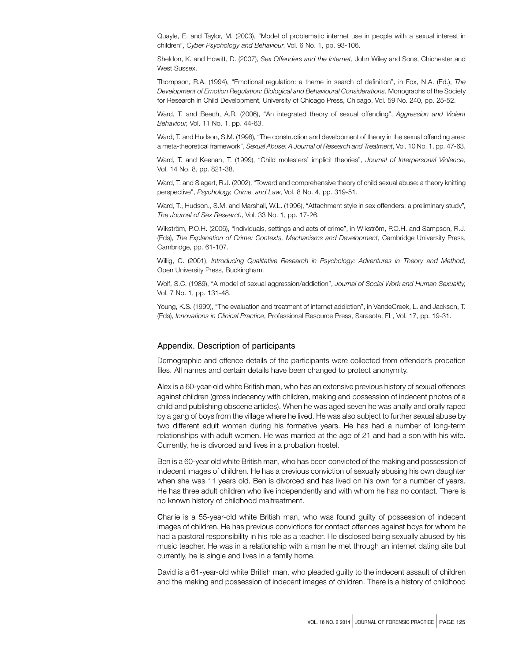Quayle, E. and Taylor, M. (2003), "Model of problematic internet use in people with a sexual interest in children", Cyber Psychology and Behaviour, Vol. 6 No. 1, pp. 93-106.

Sheldon, K. and Howitt, D. (2007), Sex Offenders and the Internet, John Wiley and Sons, Chichester and West Sussex.

Thompson, R.A. (1994), "Emotional regulation: a theme in search of definition", in Fox, N.A. (Ed.), The Development of Emotion Regulation: Biological and Behavioural Considerations, Monographs of the Society for Research in Child Development, University of Chicago Press, Chicago, Vol. 59 No. 240, pp. 25-52.

Ward, T. and Beech, A.R. (2006), "An integrated theory of sexual offending", Aggression and Violent Behaviour, Vol. 11 No. 1, pp. 44-63.

Ward, T. and Hudson, S.M. (1998), "The construction and development of theory in the sexual offending area: a meta-theoretical framework", Sexual Abuse: A Journal of Research and Treatment, Vol. 10 No. 1, pp. 47-63.

Ward, T. and Keenan, T. (1999), "Child molesters' implicit theories", Journal of Interpersonal Violence, Vol. 14 No. 8, pp. 821-38.

Ward, T. and Siegert, R.J. (2002), "Toward and comprehensive theory of child sexual abuse: a theory knitting perspective", Psychology, Crime, and Law, Vol. 8 No. 4, pp. 319-51.

Ward, T., Hudson., S.M. and Marshall, W.L. (1996), "Attachment style in sex offenders: a preliminary study", The Journal of Sex Research, Vol. 33 No. 1, pp. 17-26.

Wikström, P.O.H. (2006), "Individuals, settings and acts of crime", in Wikström, P.O.H. and Sampson, R.J. (Eds), The Explanation of Crime: Contexts, Mechanisms and Development, Cambridge University Press, Cambridge, pp. 61-107.

Willig, C. (2001), Introducing Qualitative Research in Psychology: Adventures in Theory and Method, Open University Press, Buckingham.

Wolf, S.C. (1989), "A model of sexual aggression/addiction", Journal of Social Work and Human Sexuality, Vol. 7 No. 1, pp. 131-48.

Young, K.S. (1999), "The evaluation and treatment of internet addiction", in VandeCreek, L. and Jackson, T. (Eds), Innovations in Clinical Practice, Professional Resource Press, Sarasota, FL, Vol. 17, pp. 19-31.

# Appendix. Description of participants

Demographic and offence details of the participants were collected from offender's probation files. All names and certain details have been changed to protect anonymity.

Alex is a 60-year-old white British man, who has an extensive previous history of sexual offences against children (gross indecency with children, making and possession of indecent photos of a child and publishing obscene articles). When he was aged seven he was anally and orally raped by a gang of boys from the village where he lived. He was also subject to further sexual abuse by two different adult women during his formative years. He has had a number of long-term relationships with adult women. He was married at the age of 21 and had a son with his wife. Currently, he is divorced and lives in a probation hostel.

Ben is a 60-year old white British man, who has been convicted of the making and possession of indecent images of children. He has a previous conviction of sexually abusing his own daughter when she was 11 years old. Ben is divorced and has lived on his own for a number of years. He has three adult children who live independently and with whom he has no contact. There is no known history of childhood maltreatment.

Charlie is a 55-year-old white British man, who was found guilty of possession of indecent images of children. He has previous convictions for contact offences against boys for whom he had a pastoral responsibility in his role as a teacher. He disclosed being sexually abused by his music teacher. He was in a relationship with a man he met through an internet dating site but currently, he is single and lives in a family home.

David is a 61-year-old white British man, who pleaded guilty to the indecent assault of children and the making and possession of indecent images of children. There is a history of childhood